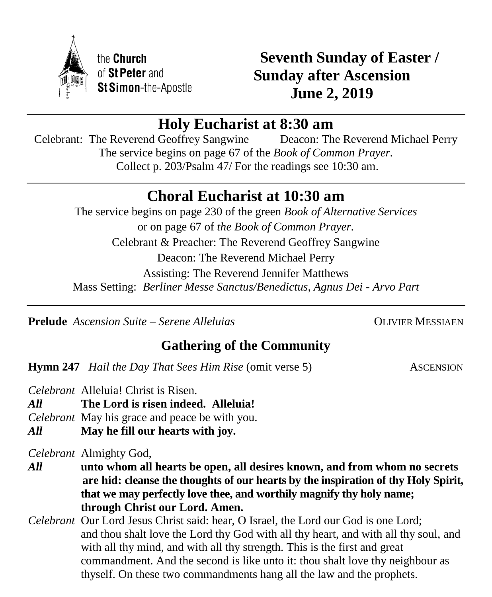

**Seventh Sunday of Easter / Sunday after Ascension June 2, 2019**

# **Holy Eucharist at 8:30 am**

Celebrant: The Reverend Geoffrey Sangwine Deacon: The Reverend Michael Perry The service begins on page 67 of the *Book of Common Prayer.* Collect p. 203/Psalm 47/ For the readings see 10:30 am.

# **Choral Eucharist at 10:30 am**

The service begins on page 230 of the green *Book of Alternative Services* or on page 67 of *the Book of Common Prayer.* Celebrant & Preacher: The Reverend Geoffrey Sangwine Deacon: The Reverend Michael Perry Assisting: The Reverend Jennifer Matthews Mass Setting: *Berliner Messe Sanctus/Benedictus, Agnus Dei - Arvo Part*

**Prelude** *Ascension Suite – Serene Alleluias* OLIVIER MESSIAEN

# **Gathering of the Community**

**Hymn 247** *Hail the Day That Sees Him Rise* (omit verse 5) ASCENSION

*Celebrant* Alleluia! Christ is Risen.

*All* **The Lord is risen indeed. Alleluia!**

*Celebrant* May his grace and peace be with you.

*All* **May he fill our hearts with joy.**

*Celebrant* Almighty God,

*All* **unto whom all hearts be open, all desires known, and from whom no secrets are hid: cleanse the thoughts of our hearts by the inspiration of thy Holy Spirit, that we may perfectly love thee, and worthily magnify thy holy name; through Christ our Lord. Amen.**

*Celebrant* Our Lord Jesus Christ said: hear, O Israel, the Lord our God is one Lord; and thou shalt love the Lord thy God with all thy heart, and with all thy soul, and with all thy mind, and with all thy strength. This is the first and great commandment. And the second is like unto it: thou shalt love thy neighbour as thyself. On these two commandments hang all the law and the prophets.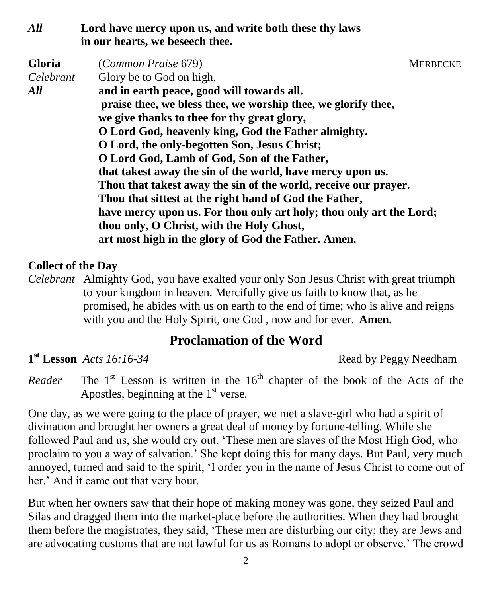### *All* **Lord have mercy upon us, and write both these thy laws in our hearts, we beseech thee.**

| <b>Gloria</b> | (Common Praise 679)                                                 | <b>MERBECKE</b> |
|---------------|---------------------------------------------------------------------|-----------------|
| Celebrant     | Glory be to God on high,                                            |                 |
| All           | and in earth peace, good will towards all.                          |                 |
|               | praise thee, we bless thee, we worship thee, we glorify thee,       |                 |
|               | we give thanks to thee for thy great glory,                         |                 |
|               | O Lord God, heavenly king, God the Father almighty.                 |                 |
|               | O Lord, the only-begotten Son, Jesus Christ;                        |                 |
|               | O Lord God, Lamb of God, Son of the Father,                         |                 |
|               | that takest away the sin of the world, have mercy upon us.          |                 |
|               | Thou that takest away the sin of the world, receive our prayer.     |                 |
|               | Thou that sittest at the right hand of God the Father,              |                 |
|               | have mercy upon us. For thou only art holy; thou only art the Lord; |                 |
|               | thou only, O Christ, with the Holy Ghost,                           |                 |
|               | art most high in the glory of God the Father. Amen.                 |                 |

#### **Collect of the Day**

*Celebrant* Almighty God, you have exalted your only Son Jesus Christ with great triumph to your kingdom in heaven. Mercifully give us faith to know that, as he promised, he abides with us on earth to the end of time; who is alive and reigns with you and the Holy Spirit, one God , now and for ever.**Amen.**

## **Proclamation of the Word**

 $1^{\text{st}}$  Lesson *Acts* 16:16-34

**st Lesson** *Acts 16:16-34* Read by Peggy Needham

*Reader* The  $1<sup>st</sup>$  Lesson is written in the  $16<sup>th</sup>$  chapter of the book of the Acts of the Apostles, beginning at the  $1<sup>st</sup>$  verse.

One day, as we were going to the place of prayer, we met a slave-girl who had a spirit of divination and brought her owners a great deal of money by fortune-telling. While she followed Paul and us, she would cry out, 'These men are slaves of the Most High God, who proclaim to you a way of salvation.' She kept doing this for many days. But Paul, very much annoyed, turned and said to the spirit, 'I order you in the name of Jesus Christ to come out of her.' And it came out that very hour.

But when her owners saw that their hope of making money was gone, they seized Paul and Silas and dragged them into the market-place before the authorities. When they had brought them before the magistrates, they said, 'These men are disturbing our city; they are Jews and are advocating customs that are not lawful for us as Romans to adopt or observe.' The crowd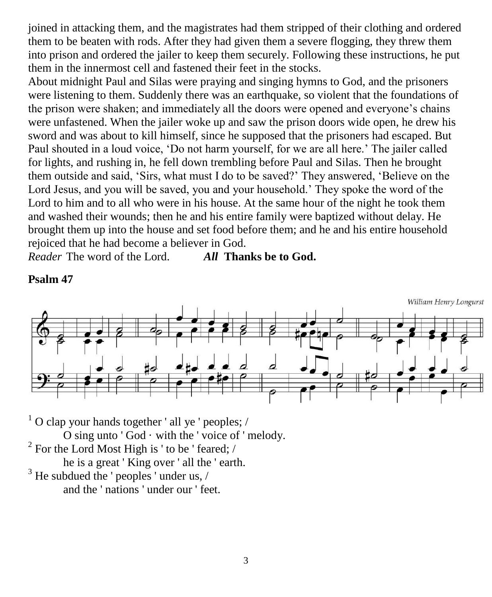joined in attacking them, and the magistrates had them stripped of their clothing and ordered them to be beaten with rods. After they had given them a severe flogging, they threw them into prison and ordered the jailer to keep them securely. Following these instructions, he put them in the innermost cell and fastened their feet in the stocks.

About midnight Paul and Silas were praying and singing hymns to God, and the prisoners were listening to them. Suddenly there was an earthquake, so violent that the foundations of the prison were shaken; and immediately all the doors were opened and everyone's chains were unfastened. When the jailer woke up and saw the prison doors wide open, he drew his sword and was about to kill himself, since he supposed that the prisoners had escaped. But Paul shouted in a loud voice, 'Do not harm yourself, for we are all here.' The jailer called for lights, and rushing in, he fell down trembling before Paul and Silas. Then he brought them outside and said, 'Sirs, what must I do to be saved?' They answered, 'Believe on the Lord Jesus, and you will be saved, you and your household.' They spoke the word of the Lord to him and to all who were in his house. At the same hour of the night he took them and washed their wounds; then he and his entire family were baptized without delay. He brought them up into the house and set food before them; and he and his entire household rejoiced that he had become a believer in God.

*Reader* The word of the Lord. *All* **Thanks be to God.**

**Psalm 47**



 $1$  O clap your hands together ' all ye ' peoples; / O sing unto  $'$  God  $\cdot$  with the  $'$  voice of  $'$  melody. <sup>2</sup> For the Lord Most High is ' to be ' feared; / he is a great ' King over ' all the ' earth.  $3$  He subdued the ' peoples ' under us,  $/$ and the ' nations ' under our ' feet.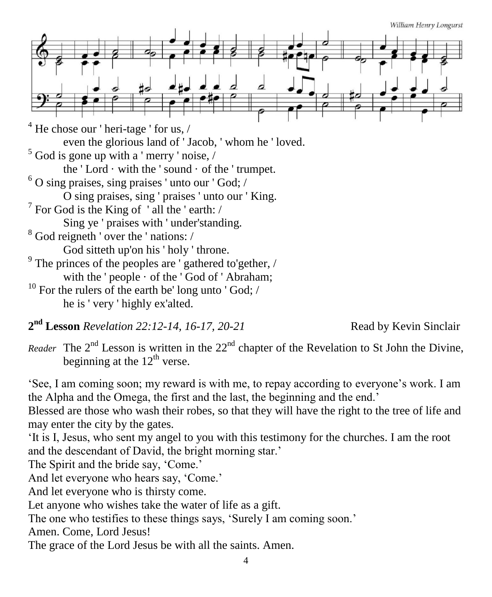William Henry Longurst



**2 nd Lesson** *Revelation 22:12-14, 16-17, 20-21* Read by Kevin Sinclair

*Reader* The  $2<sup>nd</sup>$  Lesson is written in the  $22<sup>nd</sup>$  chapter of the Revelation to St John the Divine, beginning at the  $12^{\text{th}}$  verse.

'See, I am coming soon; my reward is with me, to repay according to everyone's work. I am the Alpha and the Omega, the first and the last, the beginning and the end.'

Blessed are those who wash their robes, so that they will have the right to the tree of life and may enter the city by the gates.

'It is I, Jesus, who sent my angel to you with this testimony for the churches. I am the root and the descendant of David, the bright morning star.'

The Spirit and the bride say, 'Come.'

And let everyone who hears say, 'Come.'

And let everyone who is thirsty come.

Let anyone who wishes take the water of life as a gift.

The one who testifies to these things says, 'Surely I am coming soon.'

Amen. Come, Lord Jesus!

The grace of the Lord Jesus be with all the saints. Amen.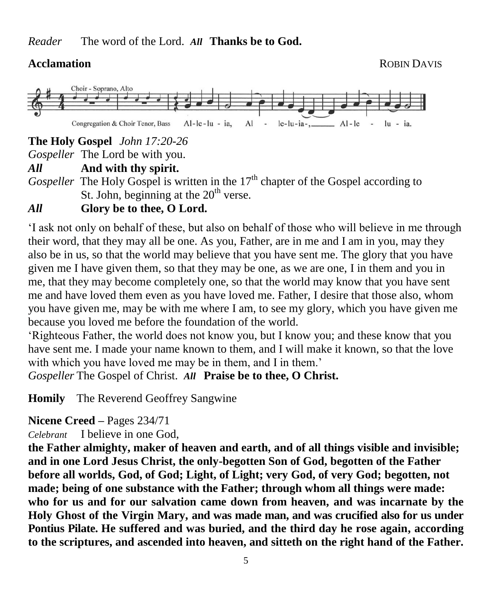

**The Holy Gospel** *John 17:20-26*

*Gospeller* The Lord be with you.

*All* **And with thy spirit.**

*Gospeller* The Holy Gospel is written in the 17<sup>th</sup> chapter of the Gospel according to St. John, beginning at the  $20<sup>th</sup>$  verse.

## *All* **Glory be to thee, O Lord.**

'I ask not only on behalf of these, but also on behalf of those who will believe in me through their word, that they may all be one. As you, Father, are in me and I am in you, may they also be in us, so that the world may believe that you have sent me. The glory that you have given me I have given them, so that they may be one, as we are one, I in them and you in me, that they may become completely one, so that the world may know that you have sent me and have loved them even as you have loved me. Father, I desire that those also, whom you have given me, may be with me where I am, to see my glory, which you have given me because you loved me before the foundation of the world.

'Righteous Father, the world does not know you, but I know you; and these know that you have sent me. I made your name known to them, and I will make it known, so that the love with which you have loved me may be in them, and I in them.' *Gospeller* The Gospel of Christ. *All* **Praise be to thee, O Christ.**

**Homily** The Reverend Geoffrey Sangwine

### **Nicene Creed –** Pages 234/71

*Celebrant* I believe in one God,

**the Father almighty, maker of heaven and earth, and of all things visible and invisible; and in one Lord Jesus Christ, the only-begotten Son of God, begotten of the Father before all worlds, God, of God; Light, of Light; very God, of very God; begotten, not made; being of one substance with the Father; through whom all things were made: who for us and for our salvation came down from heaven, and was incarnate by the Holy Ghost of the Virgin Mary, and was made man, and was crucified also for us under Pontius Pilate. He suffered and was buried, and the third day he rose again, according to the scriptures, and ascended into heaven, and sitteth on the right hand of the Father.**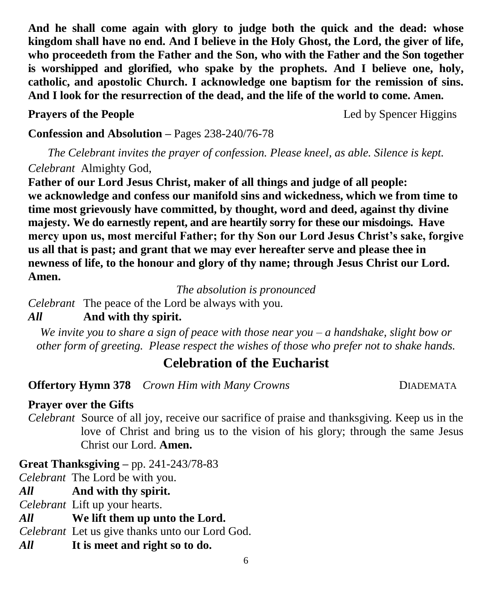**And he shall come again with glory to judge both the quick and the dead: whose kingdom shall have no end. And I believe in the Holy Ghost, the Lord, the giver of life, who proceedeth from the Father and the Son, who with the Father and the Son together is worshipped and glorified, who spake by the prophets. And I believe one, holy, catholic, and apostolic Church. I acknowledge one baptism for the remission of sins. And I look for the resurrection of the dead, and the life of the world to come. Amen.**

**Prayers of the People** Led by Spencer Higgins

**Confession and Absolution –** Pages 238-240/76-78

*The Celebrant invites the prayer of confession. Please kneel, as able. Silence is kept. Celebrant* Almighty God,

**Father of our Lord Jesus Christ, maker of all things and judge of all people: we acknowledge and confess our manifold sins and wickedness, which we from time to time most grievously have committed, by thought, word and deed, against thy divine majesty. We do earnestly repent, and are heartily sorry for these our misdoings. Have mercy upon us, most merciful Father; for thy Son our Lord Jesus Christ's sake, forgive us all that is past; and grant that we may ever hereafter serve and please thee in newness of life, to the honour and glory of thy name; through Jesus Christ our Lord. Amen.**

*The absolution is pronounced*

*Celebrant* The peace of the Lord be always with you.

## *All* **And with thy spirit.**

*We invite you to share a sign of peace with those near you – a handshake, slight bow or other form of greeting. Please respect the wishes of those who prefer not to shake hands.*

# **Celebration of the Eucharist**

**Offertory Hymn 378** *Crown Him with Many Crowns* DIADEMATA

### **Prayer over the Gifts**

*Celebrant* Source of all joy, receive our sacrifice of praise and thanksgiving. Keep us in the love of Christ and bring us to the vision of his glory; through the same Jesus Christ our Lord. **Amen.**

### **Great Thanksgiving –** pp. 241-243/78-83

*Celebrant* The Lord be with you.

*All* **And with thy spirit.** 

*Celebrant* Lift up your hearts.

*All* **We lift them up unto the Lord.** 

*Celebrant* Let us give thanks unto our Lord God.

*All* **It is meet and right so to do.**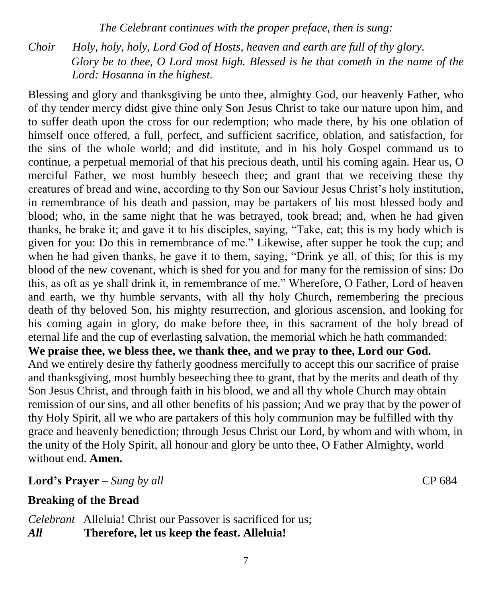*The Celebrant continues with the proper preface, then is sung:*

*Choir Holy, holy, holy, Lord God of Hosts, heaven and earth are full of thy glory. Glory be to thee, O Lord most high. Blessed is he that cometh in the name of the Lord: Hosanna in the highest.*

Blessing and glory and thanksgiving be unto thee, almighty God, our heavenly Father, who of thy tender mercy didst give thine only Son Jesus Christ to take our nature upon him, and to suffer death upon the cross for our redemption; who made there, by his one oblation of himself once offered, a full, perfect, and sufficient sacrifice, oblation, and satisfaction, for the sins of the whole world; and did institute, and in his holy Gospel command us to continue, a perpetual memorial of that his precious death, until his coming again. Hear us, O merciful Father, we most humbly beseech thee; and grant that we receiving these thy creatures of bread and wine, according to thy Son our Saviour Jesus Christ's holy institution, in remembrance of his death and passion, may be partakers of his most blessed body and blood; who, in the same night that he was betrayed, took bread; and, when he had given thanks, he brake it; and gave it to his disciples, saying, "Take, eat; this is my body which is given for you: Do this in remembrance of me." Likewise, after supper he took the cup; and when he had given thanks, he gave it to them, saying, "Drink ye all, of this; for this is my blood of the new covenant, which is shed for you and for many for the remission of sins: Do this, as oft as ye shall drink it, in remembrance of me." Wherefore, O Father, Lord of heaven and earth, we thy humble servants, with all thy holy Church, remembering the precious death of thy beloved Son, his mighty resurrection, and glorious ascension, and looking for his coming again in glory, do make before thee, in this sacrament of the holy bread of eternal life and the cup of everlasting salvation, the memorial which he hath commanded: **We praise thee, we bless thee, we thank thee, and we pray to thee, Lord our God.**  And we entirely desire thy fatherly goodness mercifully to accept this our sacrifice of praise and thanksgiving, most humbly beseeching thee to grant, that by the merits and death of thy Son Jesus Christ, and through faith in his blood, we and all thy whole Church may obtain remission of our sins, and all other benefits of his passion; And we pray that by the power of thy Holy Spirit, all we who are partakers of this holy communion may be fulfilled with thy grace and heavenly benediction; through Jesus Christ our Lord, by whom and with whom, in the unity of the Holy Spirit, all honour and glory be unto thee, O Father Almighty, world

without end. **Amen.**

**Lord's Prayer –** *Sung by all* CP 684

### **Breaking of the Bread**

*Celebrant* Alleluia! Christ our Passover is sacrificed for us; *All* **Therefore, let us keep the feast. Alleluia!**